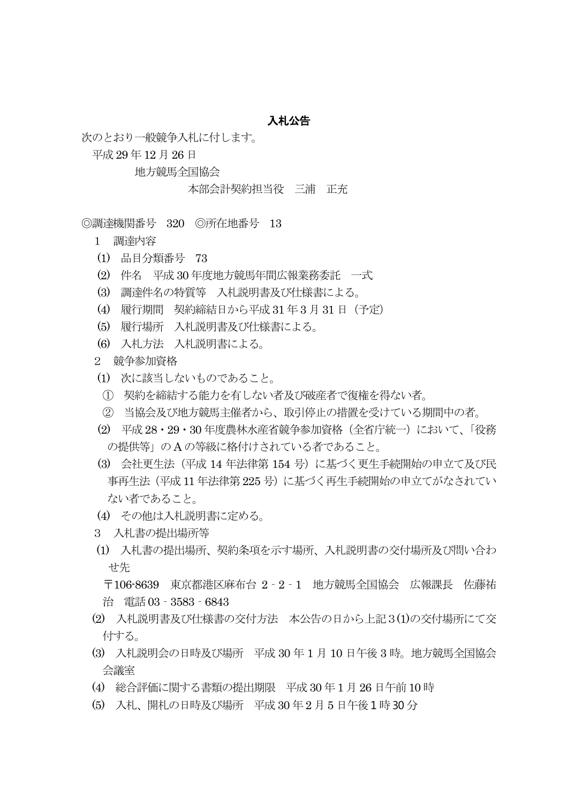## 入札公告

次のとおり一般競争入札に付します。

平成 29 年 12 月26 日

地方競馬全国協会

本部会計契約担当役 三浦 正充

◎調達機関番号 320 ◎所在地番号 13

1 調達内容

- (1) 品目分類番号 73
- (2) 件名 平成 30 年度地方競馬年間広報業務委託 一式
- (3) 調達件名の特質等 入札説明書及び仕様書による。
- (4) 履行期間 契約締結日から平成 31 年3 月 31 日(予定)
- (5) 履行場所 入札説明書及び仕様書による。
- (6) 入札方法 入札説明書による。

2 競争参加資格

- (1) 次に該当しないものであること。
- ① 契約を締結する能力を有しない者及び破産者で復権を得ない者。
- ② 当協会及び地方競馬主催者から、取引停止の措置を受けている期間中の者。
- (2) 平成 28・29・30 年度農林水産省競争参加資格(全省庁統一)において、「役務 の提供等」の A の等級に格付けされている者であること。
- (3) 会社更生法(平成 14 年法律第 154 号)に基づく更生手続開始の申立て及び民 事再生法(平成 11 年法律第 225 号)に基づく再生手続開始の申立てがなされてい ない者であること。
- (4) その他は入札説明書に定める。
- 3 入札書の提出場所等
- (1) 入札書の提出場所、契約条項を示す場所、入札説明書の交付場所及び問い合わ せ先

 〒106-8639 東京都港区麻布台 2‐2‐1 地方競馬全国協会 広報課長 佐藤祐 治 電話 03‐3583‐6843

- (2) 入札説明書及び仕様書の交付方法 本公告の日から上記3(1)の交付場所にて交 付する。
- (3) 入札説明会の日時及び場所 平成 30 年 1 月 10 日午後 3 時。地方競馬全国協会 会議室
- (4) 総合評価に関する書類の提出期限 平成 30 年1 月 26 日午前 10 時
- (5) 入札、開札の日時及び場所 平成 30 年2 月 5 日午後1 時30 分